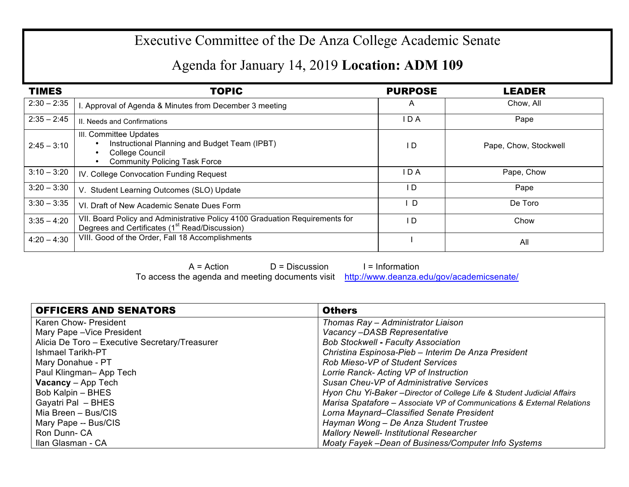## Executive Committee of the De Anza College Academic Senate

## Agenda for January 14, 2019 **Location: ADM 109**

| <b>TIMES</b>  | <b>TOPIC</b>                                                                                                                               | <b>PURPOSE</b> | <b>LEADER</b>         |
|---------------|--------------------------------------------------------------------------------------------------------------------------------------------|----------------|-----------------------|
| $2:30 - 2:35$ | . Approval of Agenda & Minutes from December 3 meeting                                                                                     | A              | Chow, All             |
| $2:35 - 2:45$ | II. Needs and Confirmations                                                                                                                | I D A          | Pape                  |
| $2:45 - 3:10$ | III. Committee Updates<br>Instructional Planning and Budget Team (IPBT)<br>College Council<br><b>Community Policing Task Force</b>         | I D            | Pape, Chow, Stockwell |
| $3:10 - 3:20$ | IV. College Convocation Funding Request                                                                                                    | IDA            | Pape, Chow            |
| $3:20 - 3:30$ | V. Student Learning Outcomes (SLO) Update                                                                                                  | I D            | Pape                  |
| $3:30 - 3:35$ | VI. Draft of New Academic Senate Dues Form                                                                                                 | D              | De Toro               |
| $3:35 - 4:20$ | VII. Board Policy and Administrative Policy 4100 Graduation Requirements for<br>Degrees and Certificates (1 <sup>st</sup> Read/Discussion) | I D            | Chow                  |
| $4:20 - 4:30$ | VIII. Good of the Order, Fall 18 Accomplishments                                                                                           |                | All                   |

 $A = Action$   $D = Discussion$  I = Information To access the agenda and meeting documents visit http://www.deanza.edu/gov/academicsenate/

| <b>OFFICERS AND SENATORS</b>                   | <b>Others</b>                                                           |
|------------------------------------------------|-------------------------------------------------------------------------|
| Karen Chow- President                          | Thomas Ray - Administrator Liaison                                      |
| Mary Pape - Vice President                     | Vacancy-DASB Representative                                             |
| Alicia De Toro - Executive Secretary/Treasurer | <b>Bob Stockwell - Faculty Association</b>                              |
| <b>Ishmael Tarikh-PT</b>                       | Christina Espinosa-Pieb - Interim De Anza President                     |
| Mary Donahue - PT                              | <b>Rob Mieso-VP of Student Services</b>                                 |
| Paul Klingman-App Tech                         | Lorrie Ranck- Acting VP of Instruction                                  |
| <b>Vacancy</b> - App Tech                      | Susan Cheu-VP of Administrative Services                                |
| Bob Kalpin - BHES                              | Hyon Chu Yi-Baker - Director of College Life & Student Judicial Affairs |
| Gayatri Pal - BHES                             | Marisa Spatafore - Associate VP of Communications & External Relations  |
| Mia Breen - Bus/CIS                            | Lorna Maynard–Classified Senate President                               |
| Mary Pape -- Bus/CIS                           | Hayman Wong - De Anza Student Trustee                                   |
| Ron Dunn-CA                                    | <b>Mallory Newell- Institutional Researcher</b>                         |
| Ilan Glasman - CA                              | Moaty Fayek -Dean of Business/Computer Info Systems                     |